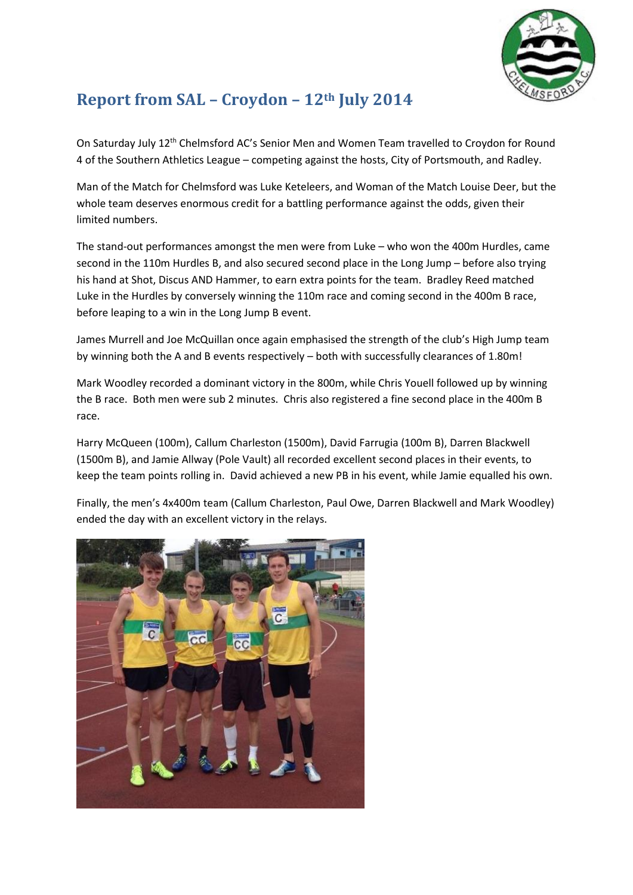

## **Report from SAL – Croydon – 12th July 2014**

On Saturday July 12<sup>th</sup> Chelmsford AC's Senior Men and Women Team travelled to Croydon for Round 4 of the Southern Athletics League – competing against the hosts, City of Portsmouth, and Radley.

Man of the Match for Chelmsford was Luke Keteleers, and Woman of the Match Louise Deer, but the whole team deserves enormous credit for a battling performance against the odds, given their limited numbers.

The stand-out performances amongst the men were from Luke – who won the 400m Hurdles, came second in the 110m Hurdles B, and also secured second place in the Long Jump – before also trying his hand at Shot, Discus AND Hammer, to earn extra points for the team. Bradley Reed matched Luke in the Hurdles by conversely winning the 110m race and coming second in the 400m B race, before leaping to a win in the Long Jump B event.

James Murrell and Joe McQuillan once again emphasised the strength of the club's High Jump team by winning both the A and B events respectively – both with successfully clearances of 1.80m!

Mark Woodley recorded a dominant victory in the 800m, while Chris Youell followed up by winning the B race. Both men were sub 2 minutes. Chris also registered a fine second place in the 400m B race.

Harry McQueen (100m), Callum Charleston (1500m), David Farrugia (100m B), Darren Blackwell (1500m B), and Jamie Allway (Pole Vault) all recorded excellent second places in their events, to keep the team points rolling in. David achieved a new PB in his event, while Jamie equalled his own.

Finally, the men's 4x400m team (Callum Charleston, Paul Owe, Darren Blackwell and Mark Woodley) ended the day with an excellent victory in the relays.